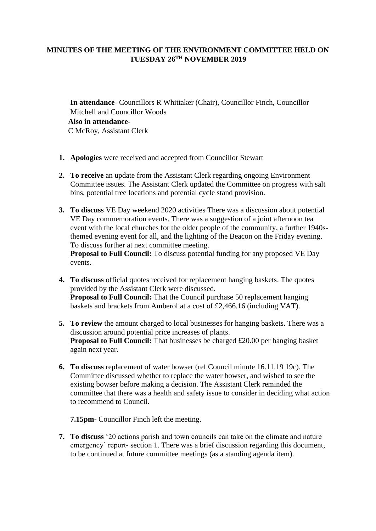## **MINUTES OF THE MEETING OF THE ENVIRONMENT COMMITTEE HELD ON**   $\text{TUESDAY } 26^{\text{TH}}$  **NOVEMBER 2019**

**In attendance**- Councillors R Whittaker (Chair), Councillor Finch, Councillor Mitchell and Councillor Woods **Also in attendance**-C McRoy, Assistant Clerk

- **1. Apologies** were received and accepted from Councillor Stewart
- **2. To receive** an update from the Assistant Clerk regarding ongoing Environment Committee issues. The Assistant Clerk updated the Committee on progress with salt bins, potential tree locations and potential cycle stand provision.
- **3. To discuss** VE Day weekend 2020 activities There was a discussion about potential VE Day commemoration events. There was a suggestion of a joint afternoon tea event with the local churches for the older people of the community, a further 1940sthemed evening event for all, and the lighting of the Beacon on the Friday evening. To discuss further at next committee meeting.

**Proposal to Full Council:** To discuss potential funding for any proposed VE Day events.

- **4. To discuss** official quotes received for replacement hanging baskets. The quotes provided by the Assistant Clerk were discussed. **Proposal to Full Council:** That the Council purchase 50 replacement hanging baskets and brackets from Amberol at a cost of £2,466.16 (including VAT).
- **5. To review** the amount charged to local businesses for hanging baskets. There was a discussion around potential price increases of plants. **Proposal to Full Council:** That businesses be charged £20.00 per hanging basket again next year.
- **6. To discuss** replacement of water bowser (ref Council minute 16.11.19 19c). The Committee discussed whether to replace the water bowser, and wished to see the existing bowser before making a decision. The Assistant Clerk reminded the committee that there was a health and safety issue to consider in deciding what action to recommend to Council.

**7.15pm**- Councillor Finch left the meeting.

**7. To discuss** '20 actions parish and town councils can take on the climate and nature emergency' report- section 1. There was a brief discussion regarding this document, to be continued at future committee meetings (as a standing agenda item).